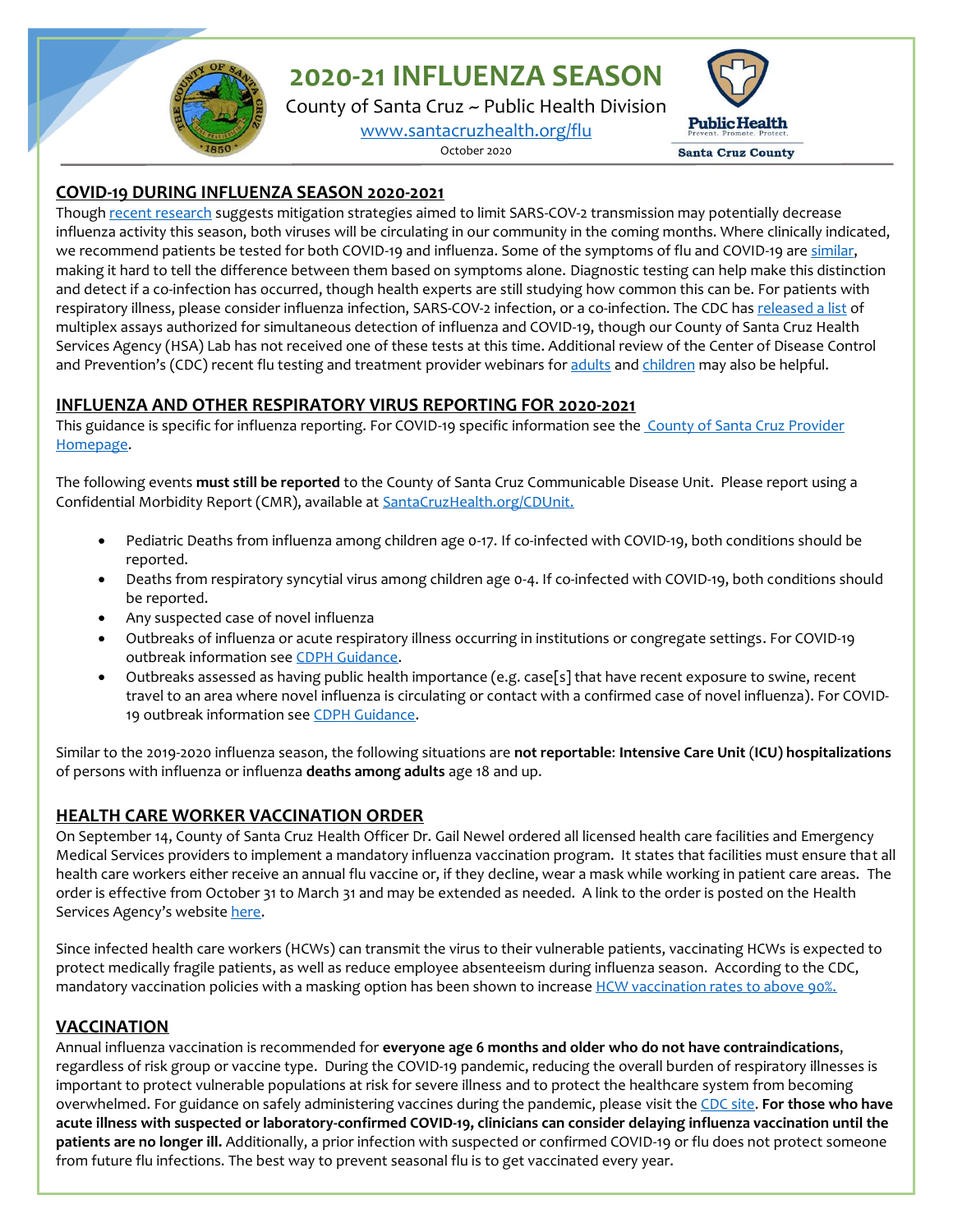**2020-21 INFLUENZA SEASON**

County of Santa Cruz ~ Public Health Division [www.santacruzhealth.org/flu](http://www.santacruzhealth.org/flu)

October 2020



#### **COVID-19 DURING INFLUENZA SEASON 2020-2021**

Thoug[h recent research](https://www.cdc.gov/mmwr/volumes/69/wr/mm6937a6.htm) suggests mitigation strategies aimed to limit SARS-COV-2 transmission may potentially decrease influenza activity this season, both viruses will be circulating in our community in the coming months. Where clinically indicated, we recommend patients be tested for both COVID-19 and influenza. Some of the symptoms of flu and COVID-19 ar[e similar,](https://www.cdc.gov/flu/symptoms/flu-vs-covid19.htm#:~:text=Similarities%3ABoth%20COVID%2D,of%20taste%20or%20smell.) making it hard to tell the difference between them based on symptoms alone. Diagnostic testing can help make this distinction and detect if a co-infection has occurred, though health experts are still studying how common this can be. For patients with respiratory illness, please consider influenza infection, SARS-COV-2 infection, or a co-infection. The CDC has [released a list](https://www.cdc.gov/flu/professionals/diagnosis/table-flu-covid19-detection.html) of multiplex assays authorized for simultaneous detection of influenza and COVID-19, though our County of Santa Cruz Health Services Agency (HSA) Lab has not received one of these tests at this time. Additional review of the Center of Disease Control and Prevention's (CDC) recent flu testing and treatment provider webinars for [adults](https://emergency.cdc.gov/coca/calls/2020/callinfo_091720.asp) and [children](https://emergency.cdc.gov/coca/calls/2020/callinfo_100820.asp) may also be helpful.

## **INFLUENZA AND OTHER RESPIRATORY VIRUS REPORTING FOR 2020-2021**

This guidance is specific for influenza reporting. For COVID-19 specific information see the County [of Santa Cruz](https://www.santacruzhealth.org/HSAHome/HSADivisions/PublicHealth/CommunicableDiseaseControl/CoronavirusHome/ProviderGuidance.aspx) Provider [Homepage.](https://www.santacruzhealth.org/HSAHome/HSADivisions/PublicHealth/CommunicableDiseaseControl/CoronavirusHome/ProviderGuidance.aspx)

The following events **must still be reported** to the County of Santa Cruz Communicable Disease Unit. Please report using a Confidential Morbidity Report (CMR), available at SantaCruzHealth.org/CDUnit.

- Pediatric Deaths from influenza among children age 0-17. If co-infected with COVID-19, both conditions should be reported.
- Deaths from respiratory syncytial virus among children age 0-4. If co-infected with COVID-19, both conditions should be reported.
- Any suspected case of novel influenza
- Outbreaks of influenza or acute respiratory illness occurring in institutions or congregate settings. For COVID-19 outbreak information se[e CDPH Guidance.](https://www.cdph.ca.gov/Programs/CID/DCDC/Pages/COVID-19/OutbreakDefinitionandReportingGuidance.aspx)
- Outbreaks assessed as having public health importance (e.g. case[s] that have recent exposure to swine, recent travel to an area where novel influenza is circulating or contact with a confirmed case of novel influenza). For COVID-19 outbreak information se[e CDPH Guidance.](https://www.cdph.ca.gov/Programs/CID/DCDC/Pages/COVID-19/OutbreakDefinitionandReportingGuidance.aspx)

Similar to the 2019-2020 influenza season, the following situations are **not reportable**: **Intensive Care Unit** (**ICU) hospitalizations** of persons with influenza or influenza **deaths among adults** age 18 and up.

# **HEALTH CARE WORKER VACCINATION ORDER**

On September 14, County of Santa Cruz Health Officer Dr. Gail Newel ordered all licensed health care facilities and Emergency Medical Services providers to implement a mandatory influenza vaccination program. It states that facilities must ensure that all health care workers either receive an annual flu vaccine or, if they decline, wear a mask while working in patient care areas. The order is effective from October 31 to March 31 and may be extended as needed. A link to the order is posted on the Health Services Agency's website [here.](http://www.santacruzhealth.org/Portals/7/Pdfs/Alerts/2020%20Order%20for%20Mandatory%20Flu%20Prevention%20Program%20for%20HCP_2020-21.pdf)

Since infected health care workers (HCWs) can transmit the virus to their vulnerable patients, vaccinating HCWs is expected to protect medically fragile patients, as well as reduce employee absenteeism during influenza season. According to the CDC, mandatory vaccination policies with a masking option has been shown to increase [HCW vaccination rates to above 90%.](https://www.cdc.gov/flu/fluvaxview/hcp-coverage_1819estimates.htm)

#### **VACCINATION**

Annual influenza vaccination is recommended for **everyone age 6 months and older who do not have contraindications**, regardless of risk group or vaccine type. During the COVID-19 pandemic, reducing the overall burden of respiratory illnesses is important to protect vulnerable populations at risk for severe illness and to protect the healthcare system from becoming overwhelmed. For guidance on safely administering vaccines during the pandemic, please visit th[e CDC site.](https://www.cdc.gov/vaccines/pandemic-guidance/index.html) **For those who have acute illness with suspected or laboratory-confirmed COVID-19, clinicians can consider delaying influenza vaccination until the patients are no longer ill.** Additionally, a prior infection with suspected or confirmed COVID-19 or flu does not protect someone from future flu infections. The best way to prevent seasonal flu is to get vaccinated every year.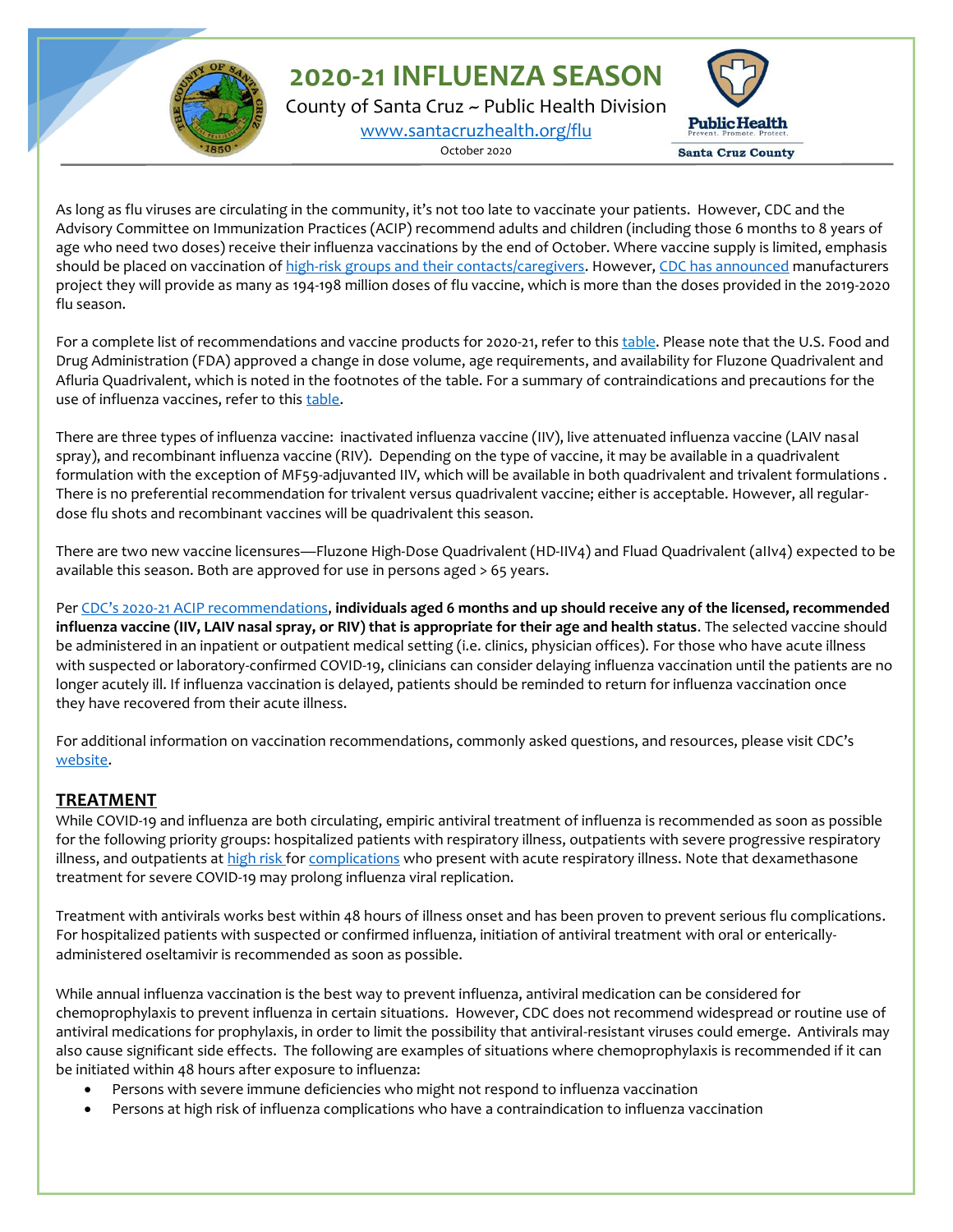**2020-21 INFLUENZA SEASON**

County of Santa Cruz ~ Public Health Division [www.santacruzhealth.org/flu](http://www.santacruzhealth.org/flu)

October 2020



As long as flu viruses are circulating in the community, it's not too late to vaccinate your patients. However, CDC and the Advisory Committee on Immunization Practices (ACIP) recommend adults and children (including those 6 months to 8 years of age who need two doses) receive their influenza vaccinations by the end of October. Where vaccine supply is limited, emphasis should be placed on vaccination of [high-risk groups and their contacts/caregivers.](https://www.cdc.gov/mmwr/volumes/69/rr/rr6908a1.htm) However[, CDC has announced](https://www.cdc.gov/flu/season/faq-flu-season-2020-2021.htm) manufacturers project they will provide as many as 194-198 million doses of flu vaccine, which is more than the doses provided in the 2019-2020 flu season.

For a complete list of recommendations and vaccine products for 2020-21, refer to this [table.](https://www.cdc.gov/flu/professionals/vaccines.htm) Please note that the U.S. Food and Drug Administration (FDA) approved a change in dose volume, age requirements, and availability for Fluzone Quadrivalent and Afluria Quadrivalent, which is noted in the footnotes of the table. For a summary of contraindications and precautions for the use of influenza vaccines, refer to this [table.](https://www.cdc.gov/mmwr/volumes/69/rr/rr6908a1.htm?s_cid=rr6908a1_w#T2_down)

There are three types of influenza vaccine: inactivated influenza vaccine (IIV), live attenuated influenza vaccine (LAIV nasal spray), and recombinant influenza vaccine (RIV). Depending on the type of vaccine, it may be available in a quadrivalent formulation with the exception of MF59-adjuvanted IIV, which will be available in both quadrivalent and trivalent formulations . There is no preferential recommendation for trivalent versus quadrivalent vaccine; either is acceptable. However, all regulardose flu shots and recombinant vaccines will be quadrivalent this season.

There are two new vaccine licensures—Fluzone High-Dose Quadrivalent (HD-IIV4) and Fluad Quadrivalent (aIIv4) expected to be available this season. Both are approved for use in persons aged > 65 years.

Per CDC's 2020[-21 ACIP recommendations,](https://www.cdc.gov/mmwr/volumes/68/rr/rr6803a1.htm?s_cid=rr6803a1_w) **individuals aged 6 months and up should receive any of the licensed, recommended influenza vaccine (IIV, LAIV nasal spray, or RIV) that is appropriate for their age and health status**. The selected vaccine should be administered in an inpatient or outpatient medical setting (i.e. clinics, physician offices). For those who have acute illness with suspected or laboratory-confirmed COVID-19, clinicians can consider delaying influenza vaccination until the patients are no longer acutely ill. If influenza vaccination is delayed, patients should be reminded to return for influenza vaccination once they have recovered from their acute illness.

For additional information on vaccination recommendations, commonly asked questions, and resources, please visit CDC's [website.](https://www.cdc.gov/flu/season/faq-flu-season-2019-2020.htm)

#### **TREATMENT**

While COVID-19 and influenza are both circulating, empiric antiviral treatment of influenza is recommended as soon as possible for the following priority groups: hospitalized patients with respiratory illness, outpatients with severe progressive respiratory illness, and outpatients at [high risk](https://www.cdc.gov/flu/highrisk/index.htm?CDC_AA_refVal=https%3A%2F%2Fwww.cdc.gov%2Fflu%2Fabout%2Fdisease%2Fhigh_risk.htm) fo[r complications](https://www.cdc.gov/flu/symptoms/symptoms.htm?CDC_AA_refVal=https%3A%2F%2Fwww.cdc.gov%2Fflu%2Fconsumer%2Fsymptoms.htm) who present with acute respiratory illness. Note that dexamethasone treatment for severe COVID-19 may prolong influenza viral replication.

Treatment with antivirals works best within 48 hours of illness onset and has been proven to prevent serious flu complications. For hospitalized patients with suspected or confirmed influenza, initiation of antiviral treatment with oral or entericallyadministered oseltamivir is recommended as soon as possible.

While annual influenza vaccination is the best way to prevent influenza, antiviral medication can be considered for chemoprophylaxis to prevent influenza in certain situations. However, CDC does not recommend widespread or routine use of antiviral medications for prophylaxis, in order to limit the possibility that antiviral-resistant viruses could emerge. Antivirals may also cause significant side effects. The following are examples of situations where chemoprophylaxis is recommended if it can be initiated within 48 hours after exposure to influenza:

- Persons with severe immune deficiencies who might not respond to influenza vaccination
- Persons at high risk of influenza complications who have a contraindication to influenza vaccination